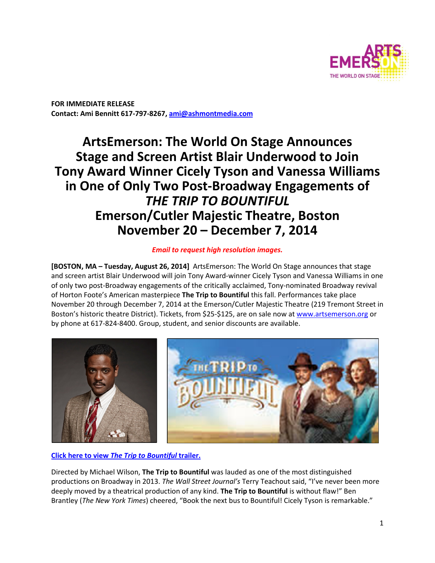

**FOR IMMEDIATE RELEASE Contact: Ami Bennitt 617‐797‐8267, ami@ashmontmedia.com** 

# **ArtsEmerson: The World On Stage Announces Stage and Screen Artist Blair Underwood to Join Tony Award Winner Cicely Tyson and Vanessa Williams in One of Only Two Post‐Broadway Engagements of**  *THE TRIP TO BOUNTIFUL*  **Emerson/Cutler Majestic Theatre, Boston November 20 – December 7, 2014**

## *Email to request high resolution images.*

**[BOSTON, MA – Tuesday, August 26, 2014]** ArtsEmerson: The World On Stage announces that stage and screen artist Blair Underwood will join Tony Award-winner Cicely Tyson and Vanessa Williams in one of only two post-Broadway engagements of the critically acclaimed, Tony-nominated Broadway revival of Horton Foote's American masterpiece **The Trip to Bountiful** this fall. Performances take place November 20 through December 7, 2014 at the Emerson/Cutler Majestic Theatre (219 Tremont Street in Boston's historic theatre District). Tickets, from \$25-\$125, are on sale now at www.artsemerson.org or by phone at 617-824-8400. Group, student, and senior discounts are available.



**Click here to view** *The Trip to Bountiful* **trailer.** 

Directed by Michael Wilson, **The Trip to Bountiful** was lauded as one of the most distinguished productions on Broadway in 2013. *The Wall Street Journal's* Terry Teachout said, "I've never been more deeply moved by a theatrical production of any kind. **The Trip to Bountiful** is without flaw!" Ben Brantley (*The New York Times*) cheered, "Book the next bus to Bountiful! Cicely Tyson is remarkable."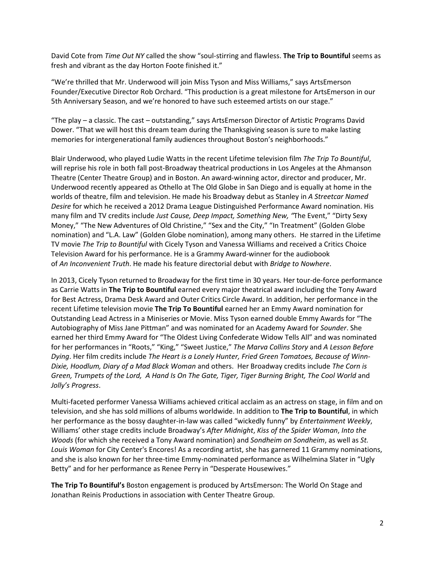David Cote from *Time Out NY* called the show "soul-stirring and flawless. **The Trip to Bountiful** seems as fresh and vibrant as the day Horton Foote finished it."

"We're thrilled that Mr. Underwood will join Miss Tyson and Miss Williams," says ArtsEmerson Founder/Executive Director Rob Orchard. "This production is a great milestone for ArtsEmerson in our 5th Anniversary Season, and we're honored to have such esteemed artists on our stage."

"The play – a classic. The cast – outstanding," says ArtsEmerson Director of Artistic Programs David Dower. "That we will host this dream team during the Thanksgiving season is sure to make lasting memories for intergenerational family audiences throughout Boston's neighborhoods."

Blair Underwood, who played Ludie Watts in the recent Lifetime television film *The Trip To Bountiful*, will reprise his role in both fall post-Broadway theatrical productions in Los Angeles at the Ahmanson Theatre (Center Theatre Group) and in Boston. An award-winning actor, director and producer, Mr. Underwood recently appeared as Othello at The Old Globe in San Diego and is equally at home in the worlds of theatre, film and television. He made his Broadway debut as Stanley in *A Streetcar Named Desire* for which he received a 2012 Drama League Distinguished Performance Award nomination. His many film and TV credits include *Just Cause, Deep Impact, Something New, "*The Event," "Dirty Sexy Money," "The New Adventures of Old Christine," "Sex and the City," "In Treatment" (Golden Globe nomination) and "L.A. Law" (Golden Globe nomination), among many others. He starred in the Lifetime TV movie *The Trip to Bountiful* with Cicely Tyson and Vanessa Williams and received a Critics Choice Television Award for his performance. He is a Grammy Award-winner for the audiobook of *An Inconvenient Truth*. He made his feature directorial debut with *Bridge to Nowhere*.

In 2013, Cicely Tyson returned to Broadway for the first time in 30 years. Her tour-de-force performance as Carrie Watts in **The Trip to Bountiful** earned every major theatrical award including the Tony Award for Best Actress, Drama Desk Award and Outer Critics Circle Award. In addition, her performance in the recent Lifetime television movie **The Trip To Bountiful** earned her an Emmy Award nomination for Outstanding Lead Actress in a Miniseries or Movie. Miss Tyson earned double Emmy Awards for "The Autobiography of Miss Jane Pittman" and was nominated for an Academy Award for *Sounder*. She earned her third Emmy Award for "The Oldest Living Confederate Widow Tells All" and was nominated for her performances in "Roots," "King," "Sweet Justice," *The Marva Collins Story* and *A Lesson Before Dying*. Her film credits include *The Heart is a Lonely Hunter, Fried Green Tomatoes, Because of Winn-Dixie, Hoodlum, Diary of a Mad Black Woman* and others. Her Broadway credits include *The Corn is*  Green, Trumpets of the Lord, A Hand Is On The Gate, Tiger, Tiger Burning Bright, The Cool World and *Jolly's Progress*.

Multi-faceted performer Vanessa Williams achieved critical acclaim as an actress on stage, in film and on television, and she has sold millions of albums worldwide. In addition to **The Trip to Bountiful**, in which her performance as the bossy daughter-in-law was called "wickedly funny" by *Entertainment Weekly*, Williams' other stage credits include Broadway's *After Midnight*, *Kiss of the Spider Woman*, *Into the Woods* (for which she received a Tony Award nomination) and *Sondheim on Sondheim*, as well as *St. Louis Woman* for City Center's Encores! As a recording artist, she has garnered 11 Grammy nominations, and she is also known for her three-time Emmy-nominated performance as Wilhelmina Slater in "Ugly Betty" and for her performance as Renee Perry in "Desperate Housewives."

**The Trip To Bountiful's** Boston engagement is produced by ArtsEmerson: The World On Stage and Jonathan Reinis Productions in association with Center Theatre Group.